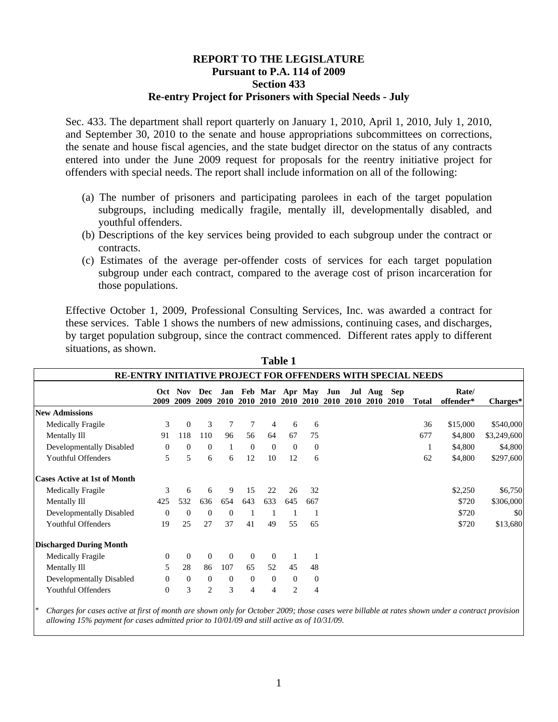## **REPORT TO THE LEGISLATURE Pursuant to P.A. 114 of 2009 Section 433 Re-entry Project for Prisoners with Special Needs - July**

Sec. 433. The department shall report quarterly on January 1, 2010, April 1, 2010, July 1, 2010, and September 30, 2010 to the senate and house appropriations subcommittees on corrections, the senate and house fiscal agencies, and the state budget director on the status of any contracts entered into under the June 2009 request for proposals for the reentry initiative project for offenders with special needs. The report shall include information on all of the following:

- (a) The number of prisoners and participating parolees in each of the target population subgroups, including medically fragile, mentally ill, developmentally disabled, and youthful offenders.
- (b) Descriptions of the key services being provided to each subgroup under the contract or contracts.
- (c) Estimates of the average per-offender costs of services for each target population subgroup under each contract, compared to the average cost of prison incarceration for those populations.

Effective October 1, 2009, Professional Consulting Services, Inc. was awarded a contract for these services. Table 1 shows the numbers of new admissions, continuing cases, and discharges, by target population subgroup, since the contract commenced. Different rates apply to different situations, as shown.

|                                                              |              |                |                |                  |                |                                        | radie 1        |                |      |             |                            |      |              |                    |             |
|--------------------------------------------------------------|--------------|----------------|----------------|------------------|----------------|----------------------------------------|----------------|----------------|------|-------------|----------------------------|------|--------------|--------------------|-------------|
| RE-ENTRY INITIATIVE PROJECT FOR OFFENDERS WITH SPECIAL NEEDS |              |                |                |                  |                |                                        |                |                |      |             |                            |      |              |                    |             |
|                                                              | Oct<br>2009  | Nov<br>2009    | Dec<br>2009    | <b>2010</b>      | 2010           | Jan Feb Mar Apr May Jun<br><b>2010</b> |                | 2010 2010      | 2010 | <b>2010</b> | Jul Aug Sep<br><b>2010</b> | 2010 | <b>Total</b> | Rate/<br>offender* | Charges*    |
| <b>New Admissions</b>                                        |              |                |                |                  |                |                                        |                |                |      |             |                            |      |              |                    |             |
| Medically Fragile                                            | 3            | $\theta$       | 3              | 7                | 7              | 4                                      | 6              | 6              |      |             |                            |      | 36           | \$15,000           | \$540,000   |
| Mentally Ill                                                 | 91           | 118            | 110            | 96               | 56             | 64                                     | 67             | 75             |      |             |                            |      | 677          | \$4,800            | \$3,249,600 |
| Developmentally Disabled                                     | $\mathbf{0}$ | $\overline{0}$ | $\theta$       | 1                | $\theta$       | $\overline{0}$                         | $\theta$       | $\overline{0}$ |      |             |                            |      | 1            | \$4,800            | \$4,800     |
| <b>Youthful Offenders</b>                                    | 5            | 5              | 6              | 6                | 12             | 10                                     | 12             | 6              |      |             |                            |      | 62           | \$4,800            | \$297,600   |
| <b>Cases Active at 1st of Month</b>                          |              |                |                |                  |                |                                        |                |                |      |             |                            |      |              |                    |             |
| Medically Fragile                                            | 3            | 6              | 6              | 9                | 15             | 22                                     | 26             | 32             |      |             |                            |      |              | \$2,250            | \$6,750     |
| Mentally Ill                                                 | 425          | 532            | 636            | 654              | 643            | 633                                    | 645            | 667            |      |             |                            |      |              | \$720              | \$306,000   |
| Developmentally Disabled                                     | $\theta$     | $\Omega$       | $\theta$       | $\mathbf{0}$     |                |                                        |                |                |      |             |                            |      |              | \$720              | \$0         |
| <b>Youthful Offenders</b>                                    | 19           | 25             | 27             | 37               | 41             | 49                                     | 55             | 65             |      |             |                            |      |              | \$720              | \$13,680    |
| <b>Discharged During Month</b>                               |              |                |                |                  |                |                                        |                |                |      |             |                            |      |              |                    |             |
| Medically Fragile                                            | 0            | $\theta$       | $\theta$       | $\boldsymbol{0}$ | $\theta$       | $\overline{0}$                         |                |                |      |             |                            |      |              |                    |             |
| Mentally Ill                                                 | 5            | 28             | 86             | 107              | 65             | 52                                     | 45             | 48             |      |             |                            |      |              |                    |             |
| Developmentally Disabled                                     | $\mathbf{0}$ | $\mathbf{0}$   | $\theta$       | $\mathbf{0}$     | $\overline{0}$ | $\theta$                               | $\overline{0}$ | $\Omega$       |      |             |                            |      |              |                    |             |
| Youthful Offenders                                           | $\theta$     | 3              | $\overline{2}$ | 3                | 4              | 4                                      | 2              | 4              |      |             |                            |      |              |                    |             |

**Table 1 1** 

\* *Charges for cases active at first of month are shown only for October 2009; those cases were billable at rates shown under a contract provision allowing 15% payment for cases admitted prior to 10/01/09 and still active as of 10/31/09.*